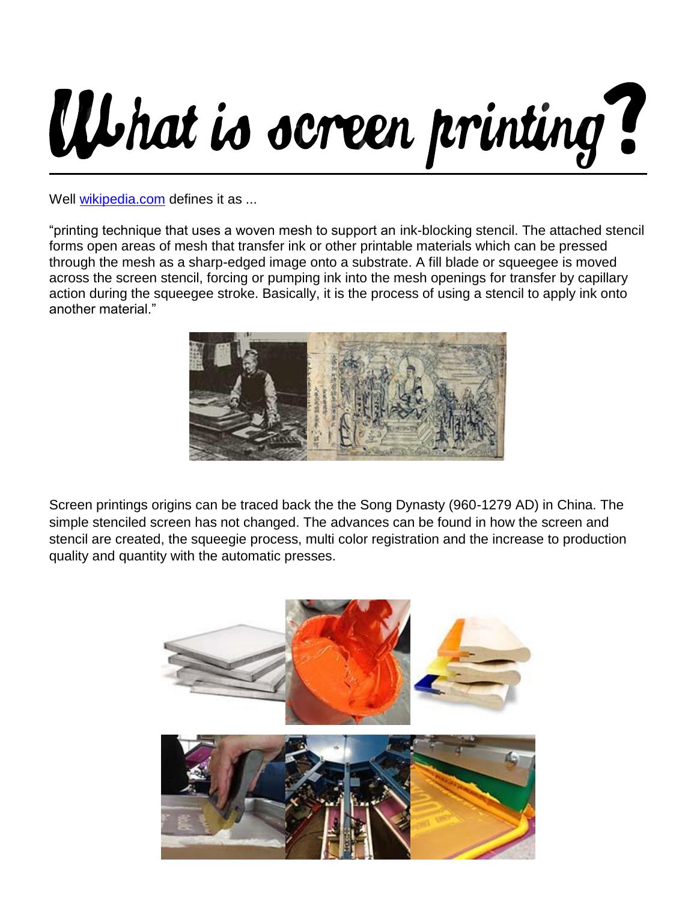## What is screen printing?

Well [wikipedia.com](http://en.wikipedia.org/wiki/Screen_printing) defines it as ...

"printing technique that uses a woven mesh to support an ink-blocking stencil. The attached stencil forms open areas of mesh that transfer ink or other printable materials which can be pressed through the mesh as a sharp-edged image onto a substrate. A fill blade or squeegee is moved across the screen stencil, forcing or pumping ink into the mesh openings for transfer by capillary action during the squeegee stroke. Basically, it is the process of using a stencil to apply ink onto another material."



Screen printings origins can be traced back the the Song Dynasty (960-1279 AD) in China. The simple stenciled screen has not changed. The advances can be found in how the screen and stencil are created, the squeegie process, multi color registration and the increase to production quality and quantity with the automatic presses.

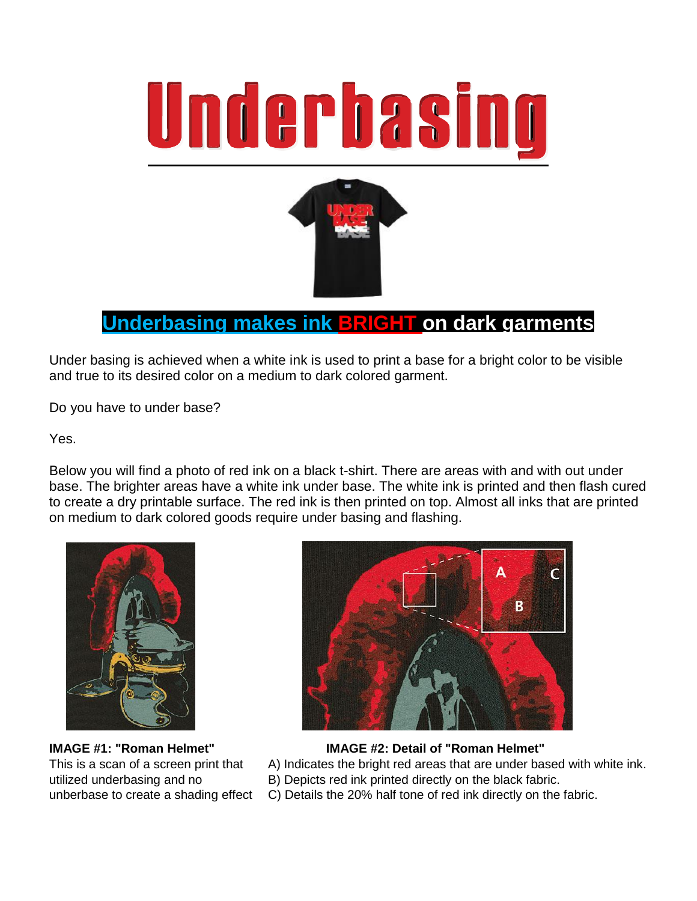



## **Underbasing makes ink BRIGHT on dark garments**

Under basing is achieved when a white ink is used to print a base for a bright color to be visible and true to its desired color on a medium to dark colored garment.

Do you have to under base?

Yes.

Below you will find a photo of red ink on a black t-shirt. There are areas with and with out under base. The brighter areas have a white ink under base. The white ink is printed and then flash cured to create a dry printable surface. The red ink is then printed on top. Almost all inks that are printed on medium to dark colored goods require under basing and flashing.





## **IMAGE #1: "Roman Helmet" IMAGE #2: Detail of "Roman Helmet"**

This is a scan of a screen print that A) Indicates the bright red areas that are under based with white ink.

- utilized underbasing and no B) Depicts red ink printed directly on the black fabric.
- unberbase to create a shading effect C) Details the 20% half tone of red ink directly on the fabric.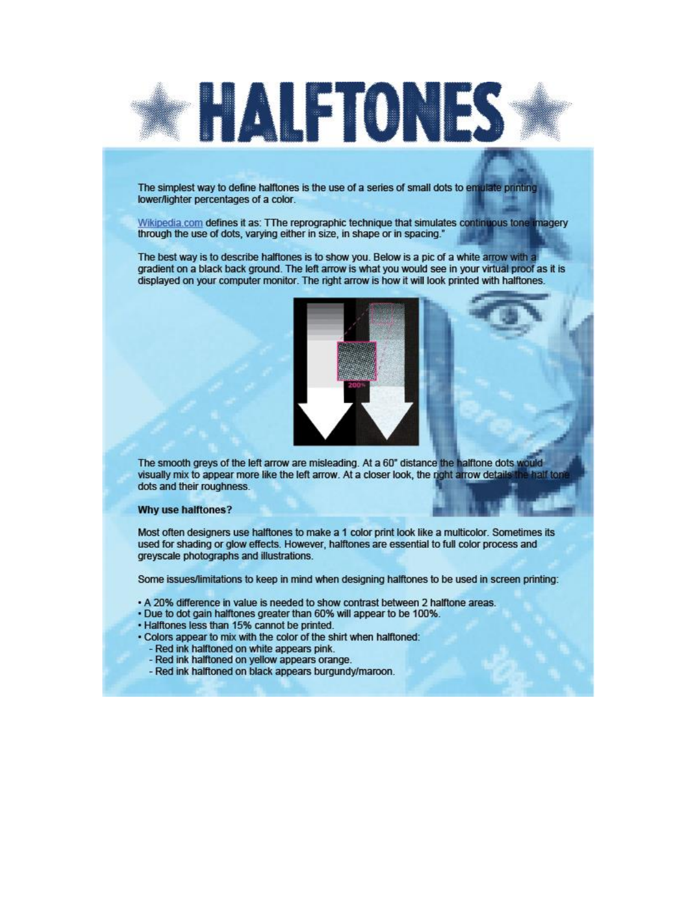

The simplest way to define halftones is the use of a series of small dots to emulate printing lower/lighter percentages of a color.

Wikipedia.com defines it as: TThe reprographic technique that simulates continuous tone imagery through the use of dots, varying either in size, in shape or in spacing."

The best way is to describe halftones is to show you. Below is a pic of a white arrow with a gradient on a black back ground. The left arrow is what you would see in your virtual proof as it is displayed on your computer monitor. The right arrow is how it will look printed with halftones.



The smooth greys of the left arrow are misleading. At a 60" distance the halftone dots would visually mix to appear more like the left arrow. At a closer look, the right arrow details aalf tor dots and their roughness.

## Why use halftones?

Most often designers use halftones to make a 1 color print look like a multicolor. Sometimes its used for shading or glow effects. However, halftones are essential to full color process and greyscale photographs and illustrations.

Some issues/limitations to keep in mind when designing halftones to be used in screen printing:

- A 20% difference in value is needed to show contrast between 2 halftone areas.
- . Due to dot gain halftones greater than 60% will appear to be 100%.
- . Halftones less than 15% cannot be printed.
- . Colors appear to mix with the color of the shirt when halftoned:
	- Red ink halftoned on white appears pink.
	- Red ink halftoned on yellow appears orange.
	- Red ink halftoned on black appears burgundy/maroon.